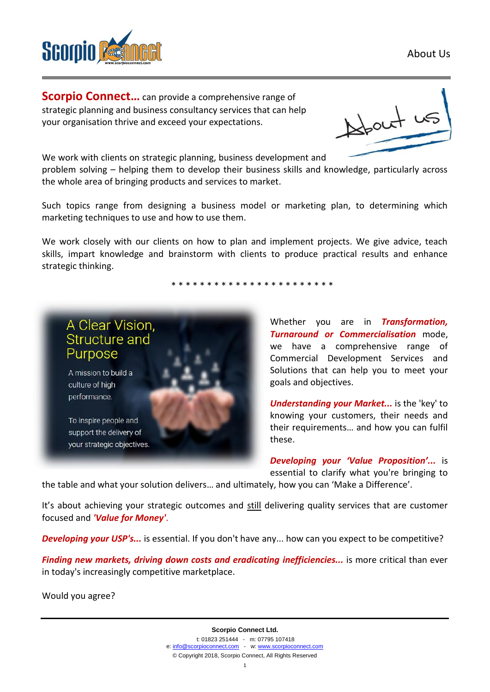About Us



**Scorpio Connect...** can provide a comprehensive range of strategic planning and business consultancy services that can help your organisation thrive and exceed your expectations.



We work with clients on strategic planning, business development and

problem solving – helping them to develop their business skills and knowledge, particularly across the whole area of bringing products and services to market.

Such topics range from designing a business model or marketing plan, to determining which marketing techniques to use and how to use them.

We work closely with our clients on how to plan and implement projects. We give advice, teach skills, impart knowledge and brainstorm with clients to produce practical results and enhance strategic thinking.

\* \* \* \* \* \* \* \* \* \* \* \* \* \* \* \* \* \* \* \* \* \* \*



Whether you are in *Transformation, Turnaround or Commercialisation* mode, we have a comprehensive range of Commercial Development Services and Solutions that can help you to meet your goals and objectives.

*Understanding your Market...* is the 'key' to knowing your customers, their needs and their requirements… and how you can fulfil these.

*Developing your 'Value Proposition'...* is essential to clarify what you're bringing to

the table and what your solution delivers… and ultimately, how you can 'Make a Difference'.

It's about achieving your strategic outcomes and still delivering quality services that are customer focused and *'Value for Money'*.

**Developing your USP's...** is essential. If you don't have any... how can you expect to be competitive?

*Finding new markets, driving down costs and eradicating inefficiencies...* is more critical than ever in today's increasingly competitive marketplace.

Would you agree?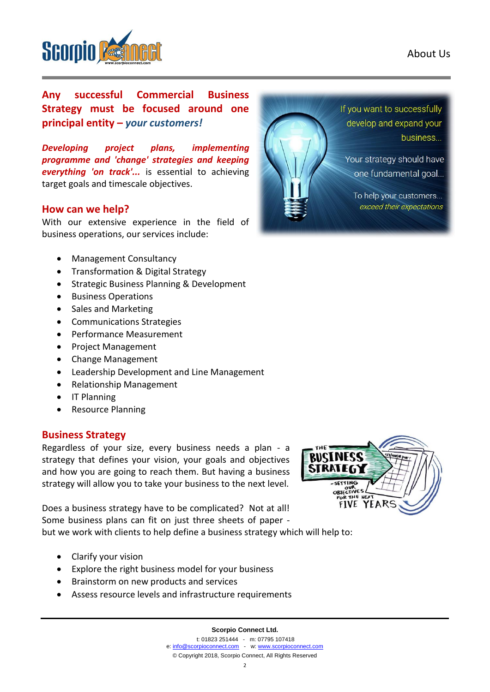

business...

If you want to successfully develop and expand your

Your strategy should have one fundamental goal...

To help your customers... exceed their expectations



**Any successful Commercial Business Strategy must be focused around one principal entity –** *your customers!*

*Developing project plans, implementing programme and 'change' strategies and keeping everything 'on track'...* is essential to achieving target goals and timescale objectives.

#### **How can we help?**

With our extensive experience in the field of business operations, our services include:

- Management Consultancy
- Transformation & Digital Strategy
- Strategic Business Planning & Development
- Business Operations
- Sales and Marketing
- Communications Strategies
- Performance Measurement
- Project Management
- Change Management
- Leadership Development and Line Management
- Relationship Management
- IT Planning
- Resource Planning

#### **Business Strategy**

Regardless of your size, every business needs a plan - a strategy that defines your vision, your goals and objectives and how you are going to reach them. But having a business strategy will allow you to take your business to the next level.

Does a business strategy have to be complicated? Not at all! Some business plans can fit on just three sheets of paper -

but we work with clients to help define a business strategy which will help to:

- Clarify your vision
- Explore the right business model for your business
- Brainstorm on new products and services
- Assess resource levels and infrastructure requirements



**Scorpio Connect Ltd.**

t: 01823 251444 - m: 07795 107418 e[: info@scorpioconnect.com](mailto:info@scorpioconnect.com) - w[: www.scorpioconnect.com](http://www.scorpioconnect.com/) © Copyright 2018, Scorpio Connect, All Rights Reserved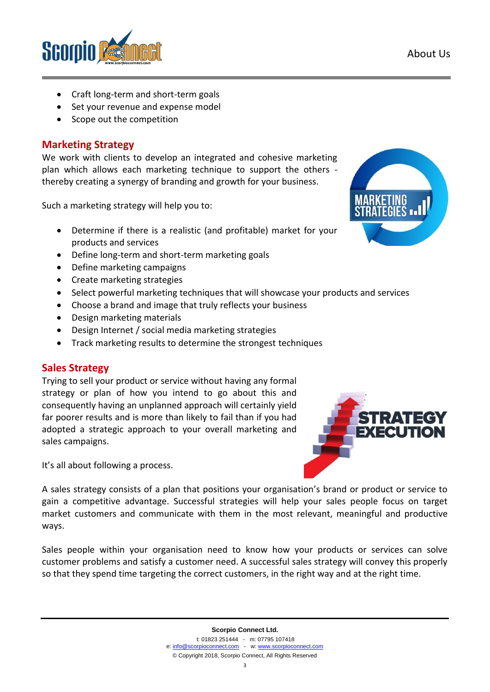

- Craft long-term and short-term goals
- Set your revenue and expense model
- Scope out the competition

## **Marketing Strategy**

We work with clients to develop an integrated and cohesive marketing plan which allows each marketing technique to support the others thereby creating a synergy of branding and growth for your business.

Such a marketing strategy will help you to:

- Determine if there is a realistic (and profitable) market for your products and services
- Define long-term and short-term marketing goals
- Define marketing campaigns
- Create marketing strategies
- Select powerful marketing techniques that will showcase your products and services
- Choose a brand and image that truly reflects your business
- Design marketing materials
- Design Internet / social media marketing strategies
- Track marketing results to determine the strongest techniques

### **Sales Strategy**

Trying to sell your product or service without having any formal strategy or plan of how you intend to go about this and consequently having an unplanned approach will certainly yield far poorer results and is more than likely to fail than if you had adopted a strategic approach to your overall marketing and sales campaigns.



It's all about following a process.

A sales strategy consists of a plan that positions your organisation's brand or product or service to gain a competitive advantage. Successful strategies will help your sales people focus on target market customers and communicate with them in the most relevant, meaningful and productive ways.

Sales people within your organisation need to know how your products or services can solve customer problems and satisfy a customer need. A successful sales strategy will convey this properly so that they spend time targeting the correct customers, in the right way and at the right time.